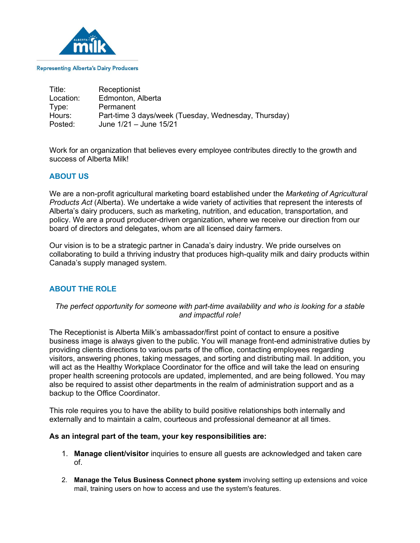

#### **Representing Alberta's Dairy Producers**

| Title:    | Receptionist                                         |
|-----------|------------------------------------------------------|
| Location: | Edmonton, Alberta                                    |
| Type:     | Permanent                                            |
| Hours:    | Part-time 3 days/week (Tuesday, Wednesday, Thursday) |
| Posted:   | June 1/21 - June 15/21                               |

Work for an organization that believes every employee contributes directly to the growth and success of Alberta Milk!

## **ABOUT US**

We are a non-profit agricultural marketing board established under the *Marketing of Agricultural Products Act* (Alberta). We undertake a wide variety of activities that represent the interests of Alberta's dairy producers, such as marketing, nutrition, and education, transportation, and policy. We are a proud producer-driven organization, where we receive our direction from our board of directors and delegates, whom are all licensed dairy farmers.

Our vision is to be a strategic partner in Canada's dairy industry. We pride ourselves on collaborating to build a thriving industry that produces high-quality milk and dairy products within Canada's supply managed system.

# **ABOUT THE ROLE**

## *The perfect opportunity for someone with part-time availability and who is looking for a stable and impactful role!*

The Receptionist is Alberta Milk's ambassador/first point of contact to ensure a positive business image is always given to the public. You will manage front-end administrative duties by providing clients directions to various parts of the office, contacting employees regarding visitors, answering phones, taking messages, and sorting and distributing mail. In addition, you will act as the Healthy Workplace Coordinator for the office and will take the lead on ensuring proper health screening protocols are updated, implemented, and are being followed. You may also be required to assist other departments in the realm of administration support and as a backup to the Office Coordinator.

This role requires you to have the ability to build positive relationships both internally and externally and to maintain a calm, courteous and professional demeanor at all times.

#### **As an integral part of the team, your key responsibilities are:**

- 1. **Manage client/visitor** inquiries to ensure all guests are acknowledged and taken care of.
- 2. **Manage the Telus Business Connect phone system** involving setting up extensions and voice mail, training users on how to access and use the system's features.